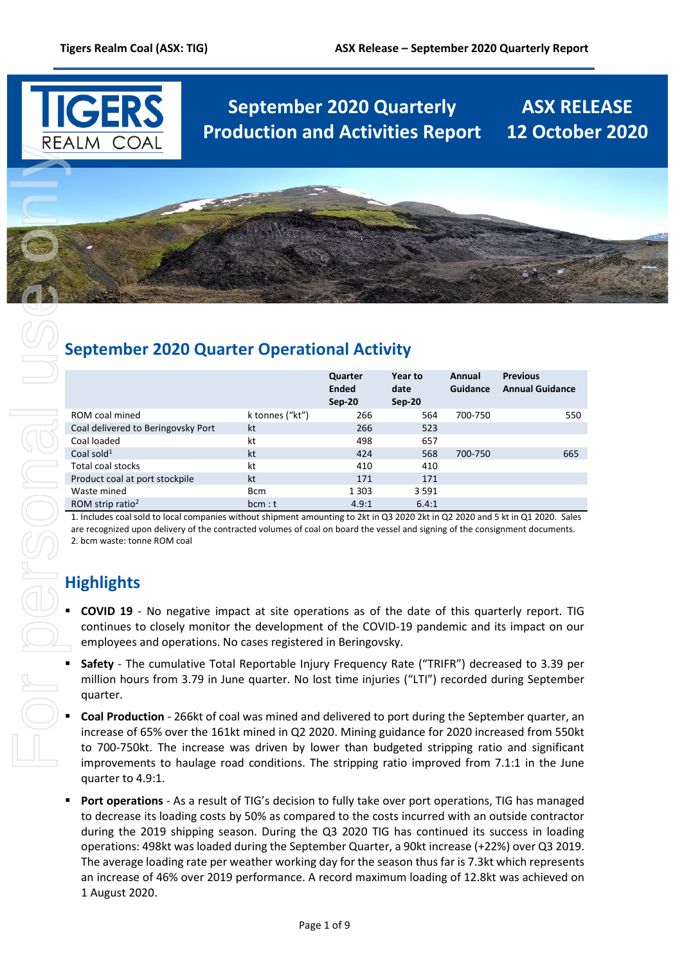

# **September 2020 Quarterly ASX RELEASE Production and Activities Report 12 October 2020**

# **September 2020 Quarter Operational Activity**

|                                    |                 | Quarter<br><b>Ended</b><br>$Sep-20$ | Year to<br>date<br>Sep-20 | Annual<br>Guidance | <b>Previous</b><br><b>Annual Guidance</b> |
|------------------------------------|-----------------|-------------------------------------|---------------------------|--------------------|-------------------------------------------|
| ROM coal mined                     | k tonnes ("kt") | 266                                 | 564                       | 700-750            | 550                                       |
| Coal delivered to Beringovsky Port | kt              | 266                                 | 523                       |                    |                                           |
| Coal loaded                        | kt              | 498                                 | 657                       |                    |                                           |
| Coal sold $1$                      | kt              | 424                                 | 568                       | 700-750            | 665                                       |
| Total coal stocks                  | kt              | 410                                 | 410                       |                    |                                           |
| Product coal at port stockpile     | kt              | 171                                 | 171                       |                    |                                           |
| Waste mined                        | <b>Bcm</b>      | 1 3 0 3                             | 3 5 9 1                   |                    |                                           |
| ROM strip ratio <sup>2</sup>       | bcm : t         | 4.9:1                               | 6.4:1                     |                    |                                           |

1. Includes coal sold to local companies without shipment amounting to 2kt in Q3 2020 2kt in Q2 2020 and 5 kt in Q1 2020. Sales are recognized upon delivery of the contracted volumes of coal on board the vessel and signing of the consignment documents. 2. bcm waste: tonne ROM coal

## **Highlights**

- **COVID 19**  No negative impact at site operations as of the date of this quarterly report. TIG continues to closely monitor the development of the COVID-19 pandemic and its impact on our employees and operations. No cases registered in Beringovsky.
- **Safety** The cumulative Total Reportable Injury Frequency Rate ("TRIFR") decreased to 3.39 per million hours from 3.79 in June quarter. No lost time injuries ("LTI") recorded during September quarter.
- **Coal Production** 266kt of coal was mined and delivered to port during the September quarter, an increase of 65% over the 161kt mined in Q2 2020. Mining guidance for 2020 increased from 550kt to 700-750kt. The increase was driven by lower than budgeted stripping ratio and significant improvements to haulage road conditions. The stripping ratio improved from 7.1:1 in the June quarter to 4.9:1.
- **Port operations**  As a result of TIG's decision to fully take over port operations, TIG has managed to decrease its loading costs by 50% as compared to the costs incurred with an outside contractor during the 2019 shipping season. During the Q3 2020 TIG has continued its success in loading operations: 498kt was loaded during the September Quarter, a 90kt increase (+22%) over Q3 2019. The average loading rate per weather working day for the season thus far is 7.3kt which represents an increase of 46% over 2019 performance. A record maximum loading of 12.8kt was achieved on 1 August 2020.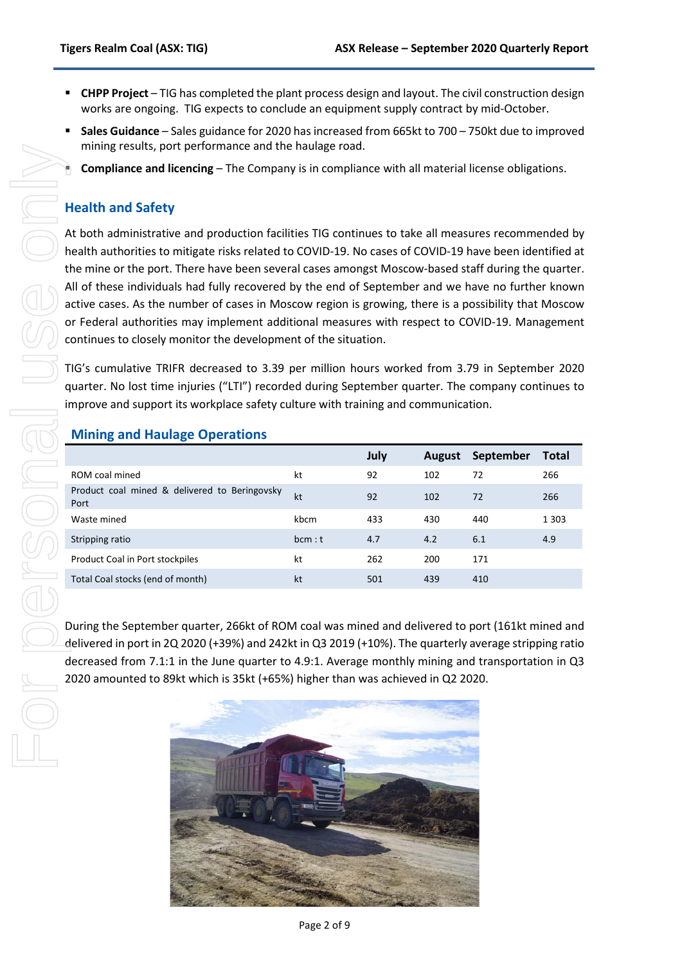- **CHPP Project** TIG has completed the plant process design and layout. The civil construction design works are ongoing. TIG expects to conclude an equipment supply contract by mid-October.
- **Sales Guidance** Sales guidance for 2020 has increased from 665kt to 700 750kt due to improved mining results, port performance and the haulage road.
- **Compliance and licencing** The Company is in compliance with all material license obligations.

#### **Health and Safety**

#### **Mining and Haulage Operations**

|                                                                                                                                                                                                                                                                                                                                                                                                                                                                                                                                                                                                                                                                                                                                                                                                                                                                                                                                                                                               | Compliance and licencing - The Company is in compliance with all material license obligations. |      |      |               |           |              |
|-----------------------------------------------------------------------------------------------------------------------------------------------------------------------------------------------------------------------------------------------------------------------------------------------------------------------------------------------------------------------------------------------------------------------------------------------------------------------------------------------------------------------------------------------------------------------------------------------------------------------------------------------------------------------------------------------------------------------------------------------------------------------------------------------------------------------------------------------------------------------------------------------------------------------------------------------------------------------------------------------|------------------------------------------------------------------------------------------------|------|------|---------------|-----------|--------------|
|                                                                                                                                                                                                                                                                                                                                                                                                                                                                                                                                                                                                                                                                                                                                                                                                                                                                                                                                                                                               | <b>Health and Safety</b>                                                                       |      |      |               |           |              |
| At both administrative and production facilities TIG continues to take all measures recommended by<br>health authorities to mitigate risks related to COVID-19. No cases of COVID-19 have been identified at<br>the mine or the port. There have been several cases amongst Moscow-based staff during the quarter<br>All of these individuals had fully recovered by the end of September and we have no further knowr<br>active cases. As the number of cases in Moscow region is growing, there is a possibility that Moscow<br>or Federal authorities may implement additional measures with respect to COVID-19. Management<br>continues to closely monitor the development of the situation.<br>TIG's cumulative TRIFR decreased to 3.39 per million hours worked from 3.79 in September 2020<br>quarter. No lost time injuries ("LTI") recorded during September quarter. The company continues to<br>improve and support its workplace safety culture with training and communication. |                                                                                                |      |      |               |           |              |
|                                                                                                                                                                                                                                                                                                                                                                                                                                                                                                                                                                                                                                                                                                                                                                                                                                                                                                                                                                                               | <b>Mining and Haulage Operations</b>                                                           |      |      |               |           |              |
|                                                                                                                                                                                                                                                                                                                                                                                                                                                                                                                                                                                                                                                                                                                                                                                                                                                                                                                                                                                               |                                                                                                |      | July | <b>August</b> | September | <b>Total</b> |
|                                                                                                                                                                                                                                                                                                                                                                                                                                                                                                                                                                                                                                                                                                                                                                                                                                                                                                                                                                                               | ROM coal mined                                                                                 | kt   | 92   |               |           |              |
|                                                                                                                                                                                                                                                                                                                                                                                                                                                                                                                                                                                                                                                                                                                                                                                                                                                                                                                                                                                               | Product coal mined & delivered to Beringovsky                                                  | kt   | 92   | 102<br>102    | 72<br>72  | 266<br>266   |
|                                                                                                                                                                                                                                                                                                                                                                                                                                                                                                                                                                                                                                                                                                                                                                                                                                                                                                                                                                                               | Port<br>Waste mined                                                                            | kbcm | 433  | 430           | 440       | 1 3 0 3      |
|                                                                                                                                                                                                                                                                                                                                                                                                                                                                                                                                                                                                                                                                                                                                                                                                                                                                                                                                                                                               | Stripping ratio                                                                                | bcm: | 4.7  | 4.2           | 6.1       | 4.9          |
|                                                                                                                                                                                                                                                                                                                                                                                                                                                                                                                                                                                                                                                                                                                                                                                                                                                                                                                                                                                               | Product Coal in Port stockpiles                                                                | kt   | 262  | 200           | 171       |              |
|                                                                                                                                                                                                                                                                                                                                                                                                                                                                                                                                                                                                                                                                                                                                                                                                                                                                                                                                                                                               | Total Coal stocks (end of month)                                                               | kt   | 501  | 439           | 410       |              |

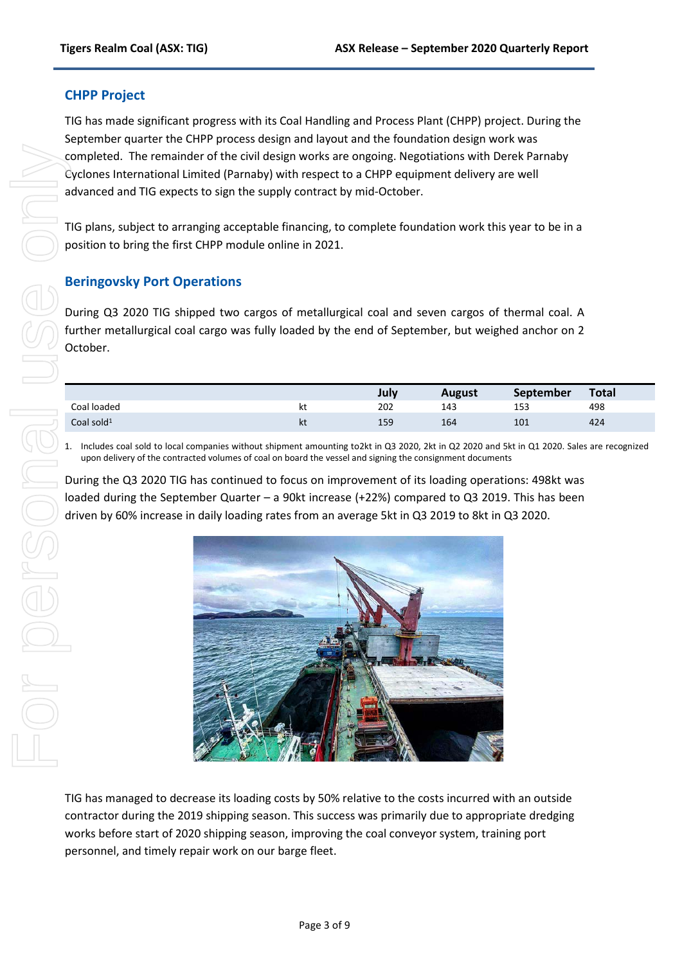#### **CHPP Project**

TIG has made significant progress with its Coal Handling and Process Plant (CHPP) project. During the September quarter the CHPP process design and layout and the foundation design work was completed. The remainder of the civil design works are ongoing. Negotiations with Derek Parnaby Cyclones International Limited (Parnaby) with respect to a CHPP equipment delivery are well advanced and TIG expects to sign the supply contract by mid-October.

TIG plans, subject to arranging acceptable financing, to complete foundation work this year to be in a position to bring the first CHPP module online in 2021.

#### **Beringovsky Port Operations**

During Q3 2020 TIG shipped two cargos of metallurgical coal and seven cargos of thermal coal. A further metallurgical coal cargo was fully loaded by the end of September, but weighed anchor on 2 October.

|               |     | July | <b>August</b> | <b>September</b> | <b>Total</b> |
|---------------|-----|------|---------------|------------------|--------------|
| Coal loaded   | n L | 202  | 143           | 153              | 498          |
| Coal sold $1$ | nι  | 159  | 164           | 101              | 424          |

1. Includes coal sold to local companies without shipment amounting to2kt in Q3 2020, 2kt in Q2 2020 and 5kt in Q1 2020. Sales are recognized upon delivery of the contracted volumes of coal on board the vessel and signing the consignment documents

During the Q3 2020 TIG has continued to focus on improvement of its loading operations: 498kt was loaded during the September Quarter – a 90kt increase (+22%) compared to Q3 2019. This has been driven by 60% increase in daily loading rates from an average 5kt in Q3 2019 to 8kt in Q3 2020.



TIG has managed to decrease its loading costs by 50% relative to the costs incurred with an outside contractor during the 2019 shipping season. This success was primarily due to appropriate dredging works before start of 2020 shipping season, improving the coal conveyor system, training port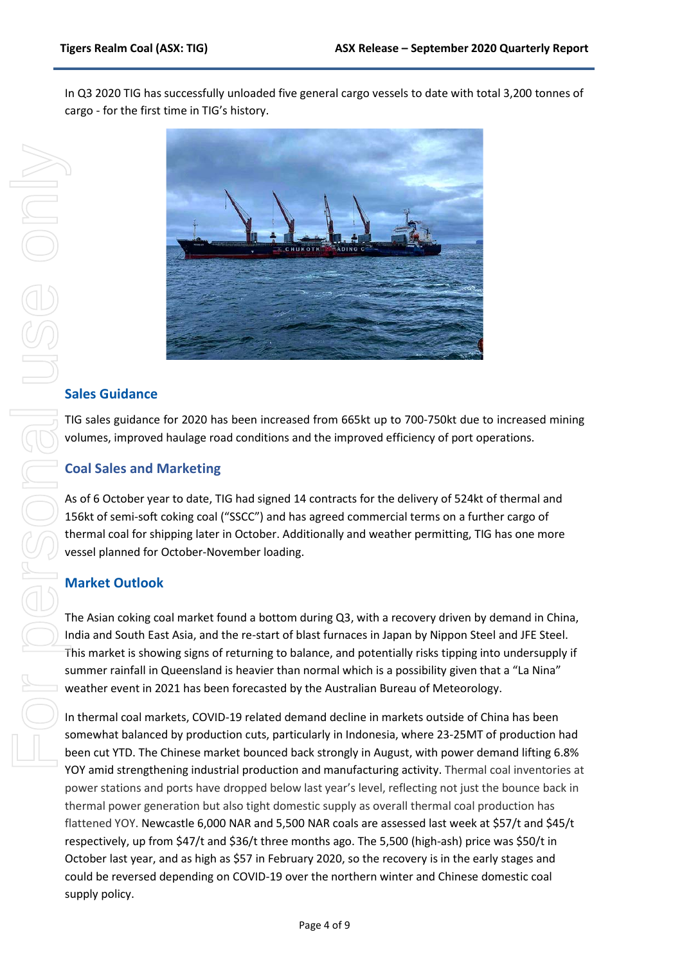In Q3 2020 TIG has successfully unloaded five general cargo vessels to date with total 3,200 tonnes of cargo - for the first time in TIG's history.



#### **Sales Guidance**

TIG sales guidance for 2020 has been increased from 665kt up to 700-750kt due to increased mining volumes, improved haulage road conditions and the improved efficiency of port operations.

#### **Coal Sales and Marketing**

As of 6 October year to date, TIG had signed 14 contracts for the delivery of 524kt of thermal and 156kt of semi-soft coking coal ("SSCC") and has agreed commercial terms on a further cargo of thermal coal for shipping later in October. Additionally and weather permitting, TIG has one more vessel planned for October-November loading.

#### **Market Outlook**

The Asian coking coal market found a bottom during Q3, with a recovery driven by demand in China, India and South East Asia, and the re-start of blast furnaces in Japan by Nippon Steel and JFE Steel. This market is showing signs of returning to balance, and potentially risks tipping into undersupply if summer rainfall in Queensland is heavier than normal which is a possibility given that a "La Nina" weather event in 2021 has been forecasted by the Australian Bureau of Meteorology.

In thermal coal markets, COVID-19 related demand decline in markets outside of China has been somewhat balanced by production cuts, particularly in Indonesia, where 23-25MT of production had been cut YTD. The Chinese market bounced back strongly in August, with power demand lifting 6.8% YOY amid strengthening industrial production and manufacturing activity. Thermal coal inventories at power stations and ports have dropped below last year's level, reflecting not just the bounce back in thermal power generation but also tight domestic supply as overall thermal coal production has flattened YOY. Newcastle 6,000 NAR and 5,500 NAR coals are assessed last week at \$57/t and \$45/t respectively, up from \$47/t and \$36/t three months ago. The 5,500 (high-ash) price was \$50/t in October last year, and as high as \$57 in February 2020, so the recovery is in the early stages and could be reversed depending on COVID-19 over the northern winter and Chinese domestic coal supply policy.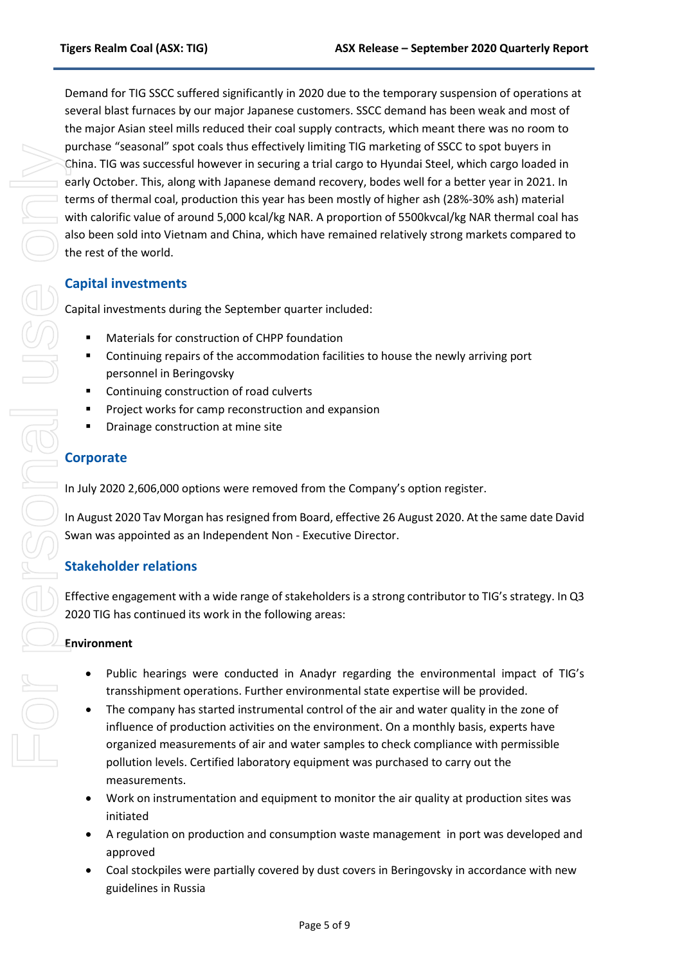Demand for TIG SSCC suffered significantly in 2020 due to the temporary suspension of operations at several blast furnaces by our major Japanese customers. SSCC demand has been weak and most of the major Asian steel mills reduced their coal supply contracts, which meant there was no room to purchase "seasonal" spot coals thus effectively limiting TIG marketing of SSCC to spot buyers in China. TIG was successful however in securing a trial cargo to Hyundai Steel, which cargo loaded in early October. This, along with Japanese demand recovery, bodes well for a better year in 2021. In terms of thermal coal, production this year has been mostly of higher ash (28%-30% ash) material with calorific value of around 5,000 kcal/kg NAR. A proportion of 5500kvcal/kg NAR thermal coal has also been sold into Vietnam and China, which have remained relatively strong markets compared to the rest of the world.

#### **Capital investments**

Capital investments during the September quarter included:

- Materials for construction of CHPP foundation
- Continuing repairs of the accommodation facilities to house the newly arriving port personnel in Beringovsky
- **EXECONTITY CONTINUITY** Continuing construction of road culverts
- Project works for camp reconstruction and expansion
- **•** Drainage construction at mine site

In July 2020 2,606,000 options were removed from the Company's option register.

In August 2020 Tav Morgan has resigned from Board, effective 26 August 2020. At the same date David Swan was appointed as an Independent Non - Executive Director.

#### **Stakeholder relations**

Effective engagement with a wide range of stakeholders is a strong contributor to TIG's strategy. In Q3 2020 TIG has continued its work in the following areas:

#### **Environment**

- Public hearings were conducted in Anadyr regarding the environmental impact of TIG's transshipment operations. Further environmental state expertise will be provided.
- The company has started instrumental control of the air and water quality in the zone of influence of production activities on the environment. On a monthly basis, experts have organized measurements of air and water samples to check compliance with permissible pollution levels. Certified laboratory equipment was purchased to carry out the measurements.
- Work on instrumentation and equipment to monitor the air quality at production sites was initiated
- A regulation on production and consumption waste management in port was developed and approved
- Coal stockpiles were partially covered by dust covers in Beringovsky in accordance with new guidelines in Russia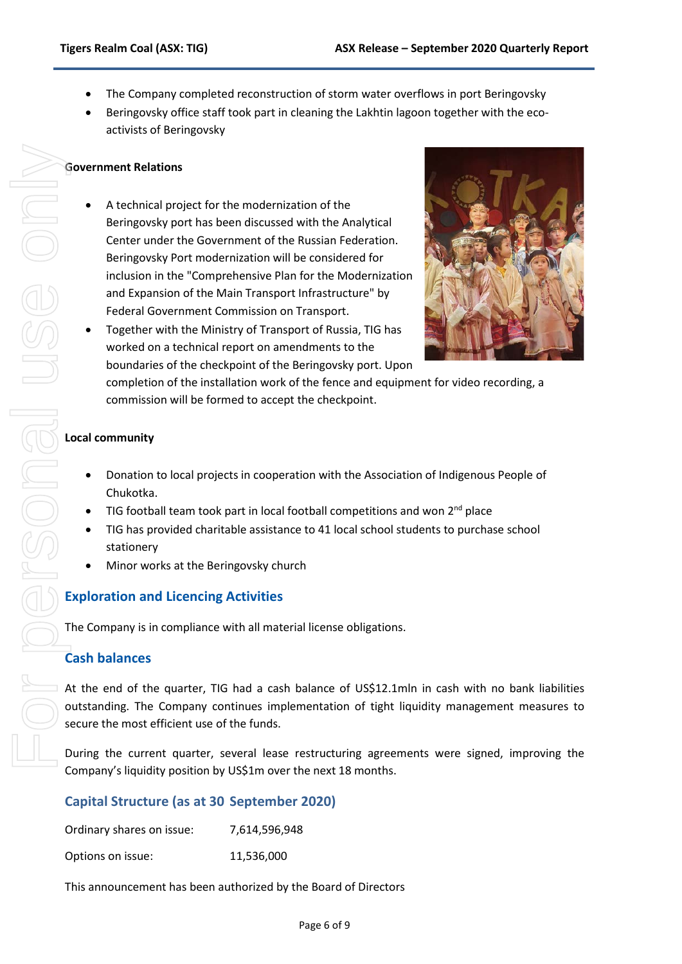- The Company completed reconstruction of storm water overflows in port Beringovsky
- Beringovsky office staff took part in cleaning the Lakhtin lagoon together with the ecoactivists of Beringovsky

#### **Government Relations**

• A technical project for the modernization of the Beringovsky port has been discussed with the Analytical Center under the Government of the Russian Federation. Beringovsky Port modernization will be considered for inclusion in the "Comprehensive Plan for the Modernization and Expansion of the Main Transport Infrastructure" by Federal Government Commission on Transport.



• Together with the Ministry of Transport of Russia, TIG has worked on a technical report on amendments to the boundaries of the checkpoint of the Beringovsky port. Upon

completion of the installation work of the fence and equipment for video recording, a commission will be formed to accept the checkpoint.

#### **Local community**

- Donation to local projects in cooperation with the Association of Indigenous People of Chukotka.
- TIG football team took part in local football competitions and won  $2^{nd}$  place
- TIG has provided charitable assistance to 41 local school students to purchase school stationery
- Minor works at the Beringovsky church

#### **Exploration and Licencing Activities**

The Company is in compliance with all material license obligations.

#### **Cash balances**

At the end of the quarter, TIG had a cash balance of US\$12.1mln in cash with no bank liabilities outstanding. The Company continues implementation of tight liquidity management measures to secure the most efficient use of the funds.

During the current quarter, several lease restructuring agreements were signed, improving the Company's liquidity position by US\$1m over the next 18 months.

#### **Capital Structure (as at 30 September 2020)**

| Ordinary shares on issue: | 7,614,596,948 |
|---------------------------|---------------|
|                           |               |

Options on issue: 11,536,000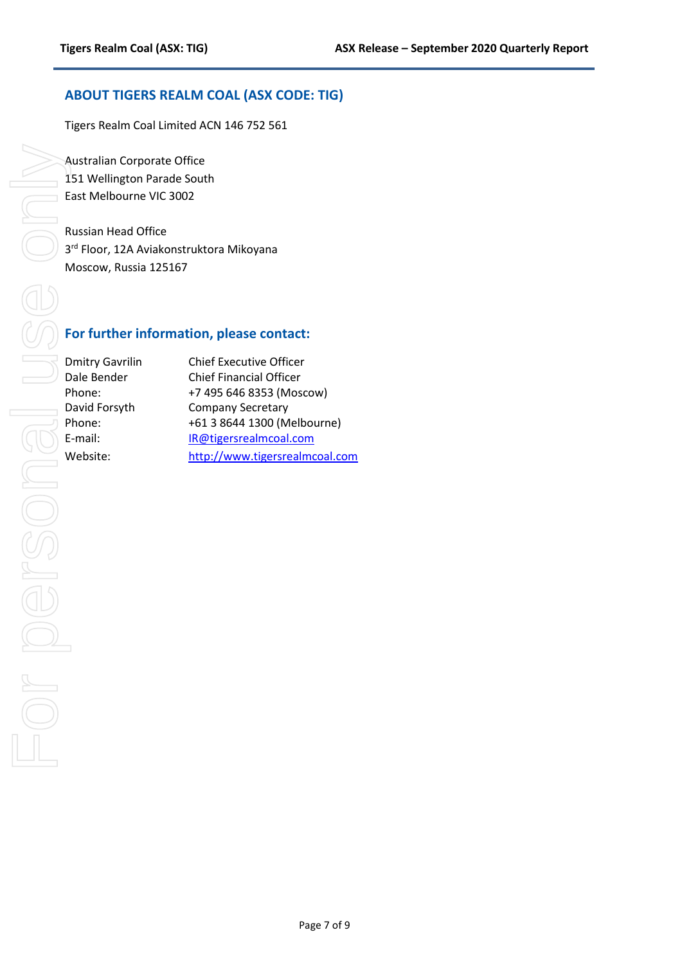#### **ABOUT TIGERS REALM COAL (ASX CODE: TIG)**

Tigers Realm Coal Limited ACN 146 752 561

Australian Corporate Office 151 Wellington Parade South East Melbourne VIC 3002

Russian Head Office 3<sup>rd</sup> Floor, 12A Aviakonstruktora Mikoyana Moscow, Russia 125167

### **For further information, please contact:**

| <b>Dmitry Gavrilin</b> | <b>Chief Executive Officer</b> |
|------------------------|--------------------------------|
| Dale Bender            | <b>Chief Financial Officer</b> |
| Phone:                 | +7 495 646 8353 (Moscow)       |
| David Forsyth          | <b>Company Secretary</b>       |
| Phone:                 | +61 3 8644 1300 (Melbourne)    |
| E-mail:                | IR@tigersrealmcoal.com         |
| Website:               | http://www.tigersrealmcoal.com |
|                        |                                |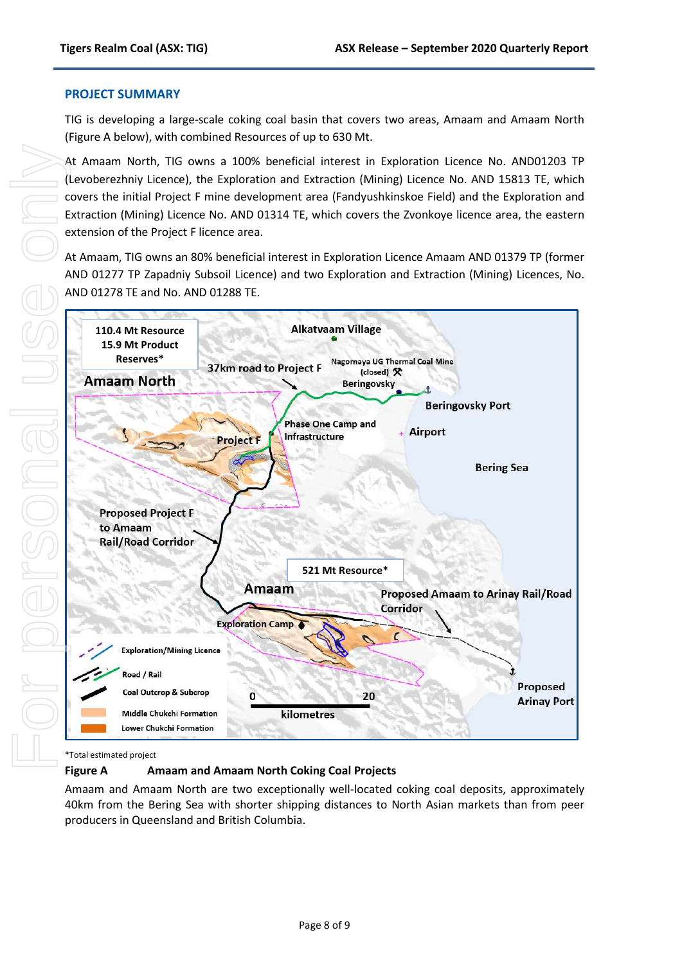#### **PROJECT SUMMARY**

TIG is developing a large-scale coking coal basin that covers two areas, Amaam and Amaam North (Figure A below), with combined Resources of up to 630 Mt.

At Amaam North, TIG owns a 100% beneficial interest in Exploration Licence No. AND01203 TP (Levoberezhniy Licence), the Exploration and Extraction (Mining) Licence No. AND 15813 TE, which covers the initial Project F mine development area (Fandyushkinskoe Field) and the Exploration and Extraction (Mining) Licence No. AND 01314 TE, which covers the Zvonkoye licence area, the eastern extension of the Project F licence area.

At Amaam, TIG owns an 80% beneficial interest in Exploration Licence Amaam AND 01379 TP (former AND 01277 TP Zapadniy Subsoil Licence) and two Exploration and Extraction (Mining) Licences, No. AND 01278 TE and No. AND 01288 TE.



\*Total estimated project

**Figure A Amaam and Amaam North Coking Coal Projects**

Amaam and Amaam North are two exceptionally well-located coking coal deposits, approximately 40km from the Bering Sea with shorter shipping distances to North Asian markets than from peer producers in Queensland and British Columbia.